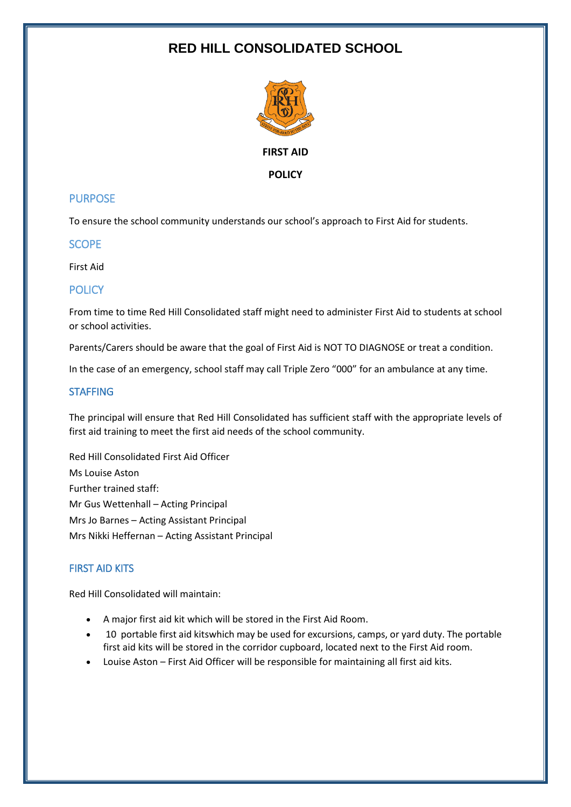# **RED HILL CONSOLIDATED SCHOOL**



## **PURPOSE**

To ensure the school community understands our school's approach to First Aid for students.

**SCOPE** 

First Aid

## POLICY

From time to time Red Hill Consolidated staff might need to administer First Aid to students at school or school activities.

Parents/Carers should be aware that the goal of First Aid is NOT TO DIAGNOSE or treat a condition.

In the case of an emergency, school staff may call Triple Zero "000" for an ambulance at any time.

## **STAFFING**

The principal will ensure that Red Hill Consolidated has sufficient staff with the appropriate levels of first aid training to meet the first aid needs of the school community.

Red Hill Consolidated First Aid Officer Ms Louise Aston Further trained staff: Mr Gus Wettenhall – Acting Principal Mrs Jo Barnes – Acting Assistant Principal Mrs Nikki Heffernan – Acting Assistant Principal

# FIRST AID KITS

Red Hill Consolidated will maintain:

- A major first aid kit which will be stored in the First Aid Room.
- 10 portable first aid kitswhich may be used for excursions, camps, or yard duty. The portable first aid kits will be stored in the corridor cupboard, located next to the First Aid room.
- Louise Aston First Aid Officer will be responsible for maintaining all first aid kits.